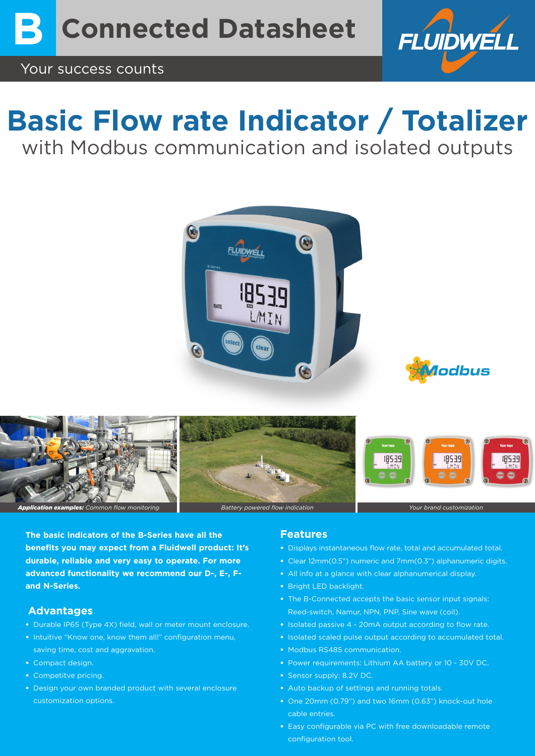

# **Basic Flow rate Indicator / Totalizer** with Modbus communication and isolated outputs







**The basic indicators of the B-Series have all the benefits you may expect from a Fluidwell product: It's durable, reliable and very easy to operate. For more advanced functionality we recommend our D-, E-, Fand N-Series.** 

### **Advantages**

- Durable IP65 (Type 4X) field, wall or meter mount enclosure.
- Intuitive "Know one, know them all!" configuration menu, saving time, cost and aggravation.
- Compact design.
- Competitve pricing.
- Design your own branded product with several enclosure customization options.

### **Features**

- Displays instantaneous flow rate, total and accumulated total.
- Clear 12mm(0.5") numeric and 7mm(0.3") alphanumeric digits.
- All info at a glance with clear alphanumerical display.
- Bright LED backlight.
- The B-Connected accepts the basic sensor input signals: Reed-switch, Namur, NPN, PNP, Sine wave (coil).
- Isolated passive 4 20mA output according to flow rate.
- Isolated scaled pulse output according to accumulated total.
- Modbus RS485 communication.
- Power requirements: Lithium AA battery or 10 30V DC.
- Sensor supply: 8.2V DC.
- Auto backup of settings and running totals.
- One 20mm (0.79") and two 16mm (0.63") knock-out hole cable entries.
- Easy configurable via PC with free downloadable remote configuration tool.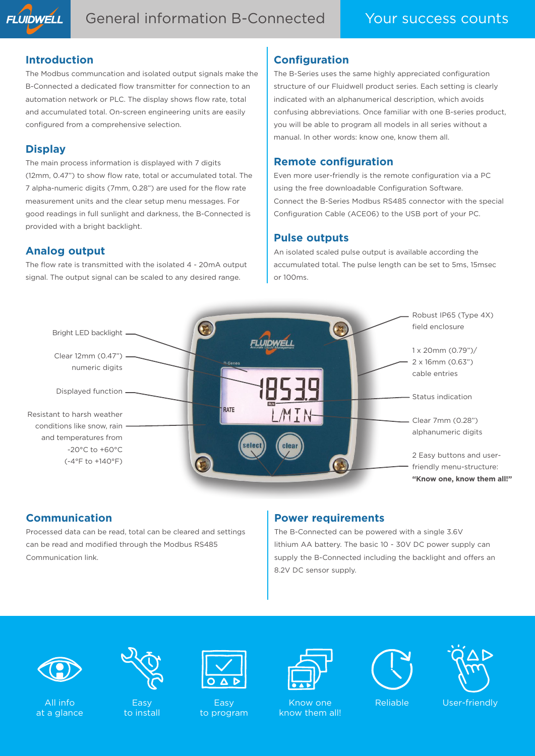

### **Introduction**

The Modbus communcation and isolated output signals make the B-Connected a dedicated flow transmitter for connection to an automation network or PLC. The display shows flow rate, total and accumulated total. On-screen engineering units are easily configured from a comprehensive selection.

# **Display**

The main process information is displayed with 7 digits (12mm, 0.47") to show flow rate, total or accumulated total. The 7 alpha-numeric digits (7mm, 0.28") are used for the flow rate measurement units and the clear setup menu messages. For good readings in full sunlight and darkness, the B-Connected is provided with a bright backlight.

# **Analog output**

The flow rate is transmitted with the isolated 4 - 20mA output signal. The output signal can be scaled to any desired range.

# **Configuration**

The B-Series uses the same highly appreciated configuration structure of our Fluidwell product series. Each setting is clearly indicated with an alphanumerical description, which avoids confusing abbreviations. Once familiar with one B-series product, you will be able to program all models in all series without a manual. In other words: know one, know them all.

## **Remote configuration**

Even more user-friendly is the remote configuration via a PC using the free downloadable Configuration Software. Connect the B-Series Modbus RS485 connector with the special Configuration Cable (ACE06) to the USB port of your PC.

# **Pulse outputs**

An isolated scaled pulse output is available according the accumulated total. The pulse length can be set to 5ms, 15msec or 100ms.



# **Communication**

Processed data can be read, total can be cleared and settings can be read and modified through the Modbus RS485 Communication link.

# **Power requirements**

The B-Connected can be powered with a single 3.6V lithium AA battery. The basic 10 - 30V DC power supply can supply the B-Connected including the backlight and offers an 8.2V DC sensor supply.



All info at a glance



Easy to install



Easy to program



Know one know them all!





Reliable User-friendly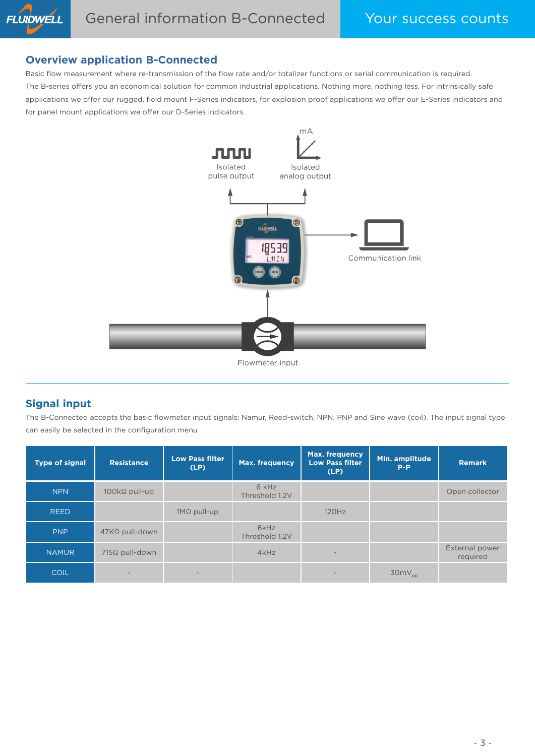## **Overview application B-Connected**

Basic flow measurement where re-transmission of the flow rate and/or totalizer functions or serial communication is required. The B-series offers you an economical solution for common industrial applications. Nothing more, nothing less. For intrinsically safe applications we offer our rugged, field mount F-Series indicators, for explosion proof applications we offer our E-Series indicators and for panel mount applications we offer our D-Series indicators.



Flowmeter input

# **Signal input**

The B-Connected accepts the basic flowmeter input signals: Namur, Reed-switch, NPN, PNP and Sine wave (coil). The input signal type can easily be selected in the configuration menu

| <b>Type of signal</b> | <b>Resistance</b>         | <b>Low Pass filter</b><br>(LP) | Max. frequency          | <b>Max. frequency</b><br><b>Low Pass filter</b><br>(LP) | Min. amplitude<br>$P-P$ | <b>Remark</b>              |
|-----------------------|---------------------------|--------------------------------|-------------------------|---------------------------------------------------------|-------------------------|----------------------------|
| <b>NPN</b>            | $100k\Omega$ pull-up      |                                | 6 kHz<br>Threshold 1.2V |                                                         |                         | Open collector             |
| <b>REED</b>           |                           | $1M\Omega$ pull-up             |                         | 120Hz                                                   |                         |                            |
| <b>PNP</b>            | $47$ K $\Omega$ pull-down |                                | 6kHz<br>Threshold 1.2V  |                                                         |                         |                            |
| <b>NAMUR</b>          | $715\Omega$ pull-down     |                                | 4kHz                    | $\qquad \qquad -$                                       |                         | External power<br>required |
| <b>COIL</b>           |                           |                                |                         | $\overline{\phantom{0}}$                                | $30mV_{pp}$             |                            |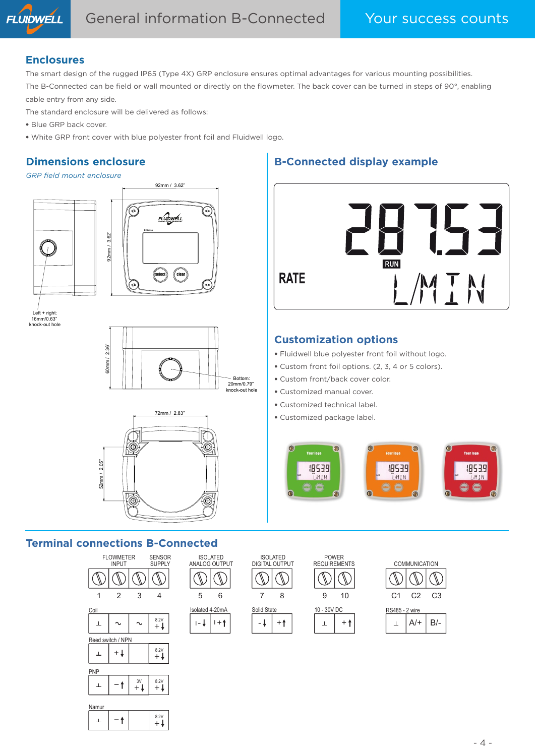

### **Enclosures**

The smart design of the rugged IP65 (Type 4X) GRP enclosure ensures optimal advantages for various mounting possibilities. The B-Connected can be field or wall mounted or directly on the flowmeter. The back cover can be turned in steps of 90°, enabling cable entry from any side.

The standard enclosure will be delivered as follows:

- Blue GRP back cover.
- White GRP front cover with blue polyester front foil and Fluidwell logo.

# **Dimensions enclosure**

#### *GRP field mount enclosure*





Left + right: 16mm/0.63" knock-out hole





# **Terminal connections B-Connected**



| Namur |  |      |
|-------|--|------|
|       |  | 8.2V |

# **B-Connected display example**



# **Customization options**

- Fluidwell blue polyester front foil without logo.
- Custom front foil options. (2, 3, 4 or 5 colors).
- Custom front/back cover color.
- Customized manual cover.
- Customized technical label.
- Customized package label.